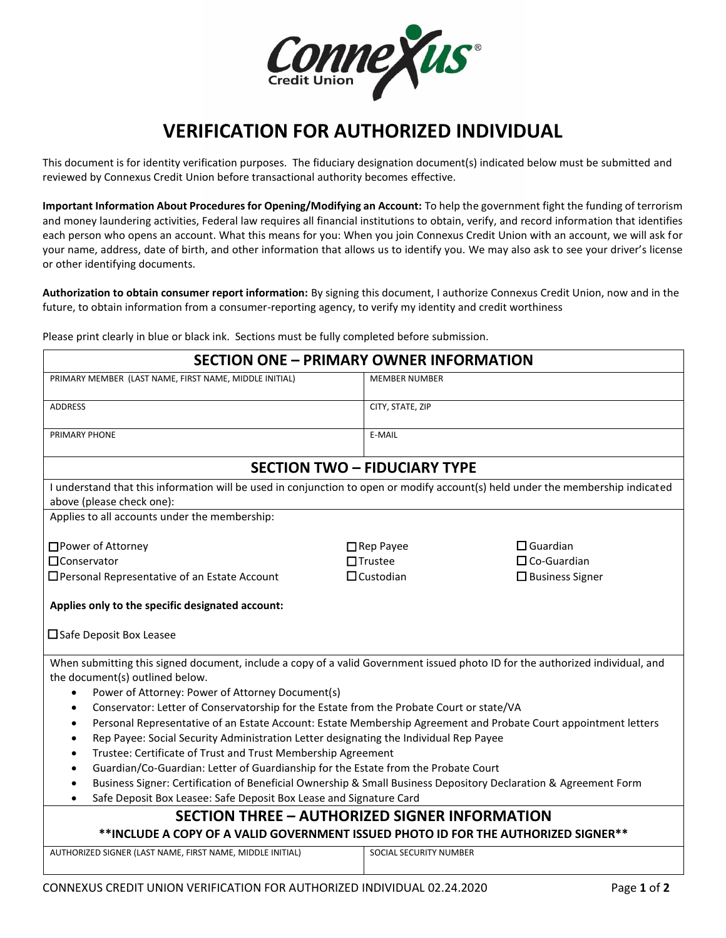

## **VERIFICATION FOR AUTHORIZED INDIVIDUAL**

This document is for identity verification purposes. The fiduciary designation document(s) indicated below must be submitted and reviewed by Connexus Credit Union before transactional authority becomes effective.

**Important Information About Procedures for Opening/Modifying an Account:** To help the government fight the funding of terrorism and money laundering activities, Federal law requires all financial institutions to obtain, verify, and record information that identifies each person who opens an account. What this means for you: When you join Connexus Credit Union with an account, we will ask for your name, address, date of birth, and other information that allows us to identify you. We may also ask to see your driver's license or other identifying documents.

**Authorization to obtain consumer report information:** By signing this document, I authorize Connexus Credit Union, now and in the future, to obtain information from a consumer-reporting agency, to verify my identity and credit worthiness

Please print clearly in blue or black ink. Sections must be fully completed before submission.

| <b>SECTION ONE - PRIMARY OWNER INFORMATION</b>                                                                                                                                                                                                                                                                                                                                                                                                                                                                                                                                                                                                                                                                                                                                                                                                                                                                                                                                      |                                                        |                                                                    |  |  |
|-------------------------------------------------------------------------------------------------------------------------------------------------------------------------------------------------------------------------------------------------------------------------------------------------------------------------------------------------------------------------------------------------------------------------------------------------------------------------------------------------------------------------------------------------------------------------------------------------------------------------------------------------------------------------------------------------------------------------------------------------------------------------------------------------------------------------------------------------------------------------------------------------------------------------------------------------------------------------------------|--------------------------------------------------------|--------------------------------------------------------------------|--|--|
| PRIMARY MEMBER (LAST NAME, FIRST NAME, MIDDLE INITIAL)                                                                                                                                                                                                                                                                                                                                                                                                                                                                                                                                                                                                                                                                                                                                                                                                                                                                                                                              | <b>MEMBER NUMBER</b>                                   |                                                                    |  |  |
| <b>ADDRESS</b>                                                                                                                                                                                                                                                                                                                                                                                                                                                                                                                                                                                                                                                                                                                                                                                                                                                                                                                                                                      | CITY, STATE, ZIP                                       |                                                                    |  |  |
| PRIMARY PHONE                                                                                                                                                                                                                                                                                                                                                                                                                                                                                                                                                                                                                                                                                                                                                                                                                                                                                                                                                                       | E-MAIL                                                 |                                                                    |  |  |
| <b>SECTION TWO - FIDUCIARY TYPE</b>                                                                                                                                                                                                                                                                                                                                                                                                                                                                                                                                                                                                                                                                                                                                                                                                                                                                                                                                                 |                                                        |                                                                    |  |  |
| I understand that this information will be used in conjunction to open or modify account(s) held under the membership indicated<br>above (please check one):                                                                                                                                                                                                                                                                                                                                                                                                                                                                                                                                                                                                                                                                                                                                                                                                                        |                                                        |                                                                    |  |  |
| Applies to all accounts under the membership:                                                                                                                                                                                                                                                                                                                                                                                                                                                                                                                                                                                                                                                                                                                                                                                                                                                                                                                                       |                                                        |                                                                    |  |  |
| □ Power of Attorney<br>□Conservator<br>□ Personal Representative of an Estate Account                                                                                                                                                                                                                                                                                                                                                                                                                                                                                                                                                                                                                                                                                                                                                                                                                                                                                               | $\Box$ Rep Payee<br>$\Box$ Trustee<br>$\Box$ Custodian | $\Box$ Guardian<br>$\Box$ Co-Guardian<br>$\square$ Business Signer |  |  |
| Applies only to the specific designated account:<br>$\square$ Safe Deposit Box Leasee                                                                                                                                                                                                                                                                                                                                                                                                                                                                                                                                                                                                                                                                                                                                                                                                                                                                                               |                                                        |                                                                    |  |  |
| When submitting this signed document, include a copy of a valid Government issued photo ID for the authorized individual, and<br>the document(s) outlined below.<br>Power of Attorney: Power of Attorney Document(s)<br>$\bullet$<br>Conservator: Letter of Conservatorship for the Estate from the Probate Court or state/VA<br>$\bullet$<br>Personal Representative of an Estate Account: Estate Membership Agreement and Probate Court appointment letters<br>$\bullet$<br>Rep Payee: Social Security Administration Letter designating the Individual Rep Payee<br>$\bullet$<br>Trustee: Certificate of Trust and Trust Membership Agreement<br>$\bullet$<br>Guardian/Co-Guardian: Letter of Guardianship for the Estate from the Probate Court<br>$\bullet$<br>Business Signer: Certification of Beneficial Ownership & Small Business Depository Declaration & Agreement Form<br>$\bullet$<br>Safe Deposit Box Leasee: Safe Deposit Box Lease and Signature Card<br>$\bullet$ |                                                        |                                                                    |  |  |
| <b>SECTION THREE - AUTHORIZED SIGNER INFORMATION</b><br>**INCLUDE A COPY OF A VALID GOVERNMENT ISSUED PHOTO ID FOR THE AUTHORIZED SIGNER**                                                                                                                                                                                                                                                                                                                                                                                                                                                                                                                                                                                                                                                                                                                                                                                                                                          |                                                        |                                                                    |  |  |
| AUTHORIZED SIGNER (LAST NAME, FIRST NAME, MIDDLE INITIAL)                                                                                                                                                                                                                                                                                                                                                                                                                                                                                                                                                                                                                                                                                                                                                                                                                                                                                                                           | SOCIAL SECURITY NUMBER                                 |                                                                    |  |  |
|                                                                                                                                                                                                                                                                                                                                                                                                                                                                                                                                                                                                                                                                                                                                                                                                                                                                                                                                                                                     |                                                        |                                                                    |  |  |